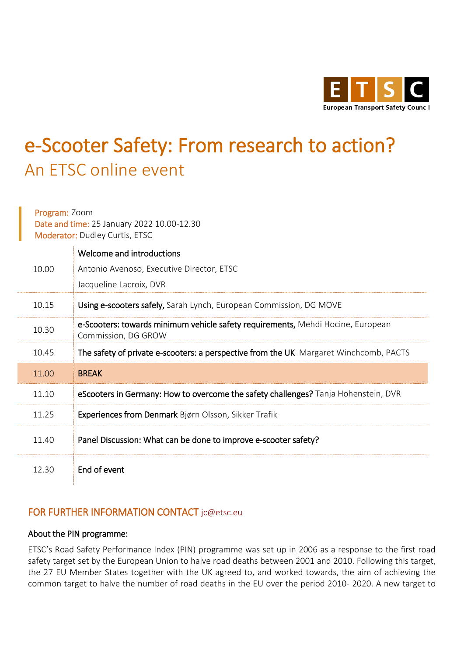

## e-Scooter Safety: From research to action? An ETSC online event

Program: Zoom Date and time: 25 January 2022 10.00-12.30 Moderator: Dudley Curtis, ETSC

À.

|       | Welcome and introductions                                                                              |
|-------|--------------------------------------------------------------------------------------------------------|
| 10.00 | Antonio Avenoso, Executive Director, ETSC                                                              |
|       | Jacqueline Lacroix, DVR                                                                                |
| 10.15 | Using e-scooters safely, Sarah Lynch, European Commission, DG MOVE                                     |
| 10.30 | e-Scooters: towards minimum vehicle safety requirements, Mehdi Hocine, European<br>Commission, DG GROW |
| 10.45 | The safety of private e-scooters: a perspective from the UK Margaret Winchcomb, PACTS                  |
| 11.00 | <b>BREAK</b>                                                                                           |
| 11.10 | eScooters in Germany: How to overcome the safety challenges? Tanja Hohenstein, DVR                     |
| 11.25 | Experiences from Denmark Bjørn Olsson, Sikker Trafik                                                   |
| 11.40 | Panel Discussion: What can be done to improve e-scooter safety?                                        |
| 12.30 | End of event                                                                                           |

## FOR FURTHER INFORMATION CONTACT [jc@etsc.eu](mailto:jc@etsc.eu)

## About the PIN programme:

ETSC's Road Safety Performance Index (PIN) programme was set up in 2006 as a response to the first road safety target set by the European Union to halve road deaths between 2001 and 2010. Following this target, the 27 EU Member States together with the UK agreed to, and worked towards, the aim of achieving the common target to halve the number of road deaths in the EU over the period 2010- 2020. A new target to